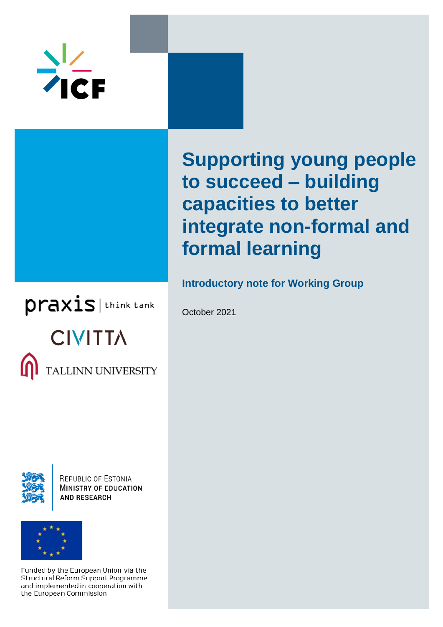

# **Supporting young people to succeed – building capacities to better integrate non-formal and formal learning**

**Introductory note for Working Group**

October 2021

praxis | think tank **CIVITTA TALLINN UNIVERSITY** 



**REPUBLIC OF ESTONIA MINISTRY OF EDUCATION AND RESEARCH** 



Funded by the European Union via the Structural Reform Support Programme and implemented in cooperation with the European Commission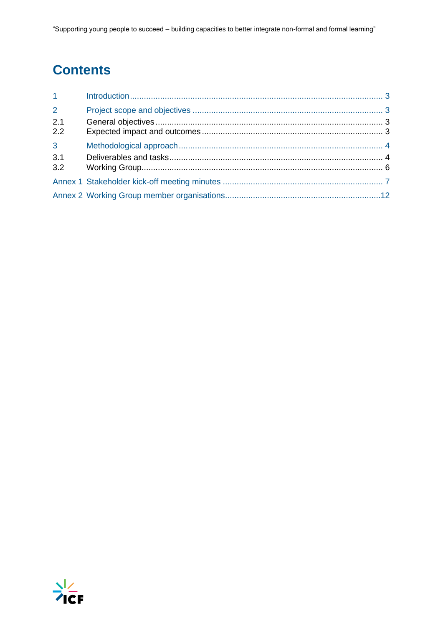## **Contents**

| 1 <sup>1</sup> |  |
|----------------|--|
| $\overline{2}$ |  |
| 2.1            |  |
| 2.2            |  |
| 3 <sup>1</sup> |  |
| 3.1            |  |
| 3.2            |  |
|                |  |
|                |  |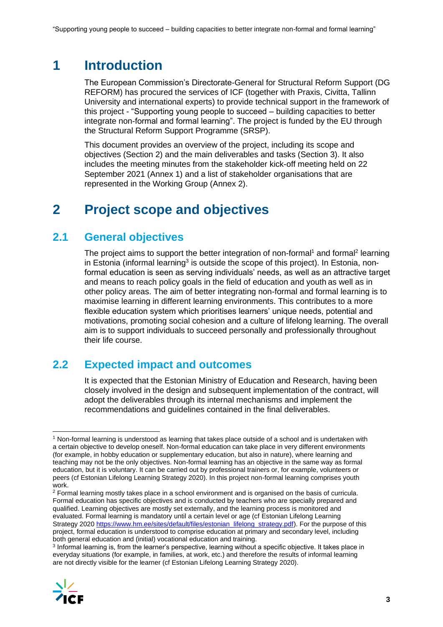## <span id="page-2-0"></span>**1 Introduction**

The European Commission's Directorate-General for Structural Reform Support (DG REFORM) has procured the services of ICF (together with Praxis, Civitta, Tallinn University and international experts) to provide technical support in the framework of this project - "Supporting young people to succeed – building capacities to better integrate non-formal and formal learning". The project is funded by the EU through the Structural Reform Support Programme (SRSP).

This document provides an overview of the project, including its scope and objectives (Section 2) and the main deliverables and tasks (Section 3). It also includes the meeting minutes from the stakeholder kick-off meeting held on 22 September 2021 (Annex 1) and a list of stakeholder organisations that are represented in the Working Group (Annex 2).

## <span id="page-2-1"></span>**2 Project scope and objectives**

### <span id="page-2-2"></span>**2.1 General objectives**

The project aims to support the better integration of non-formal<sup>1</sup> and formal<sup>2</sup> learning in Estonia (informal learning<sup>3</sup> is outside the scope of this project). In Estonia, nonformal education is seen as serving individuals' needs, as well as an attractive target and means to reach policy goals in the field of education and youth as well as in other policy areas. The aim of better integrating non-formal and formal learning is to maximise learning in different learning environments. This contributes to a more flexible education system which prioritises learners' unique needs, potential and motivations, promoting social cohesion and a culture of lifelong learning. The overall aim is to support individuals to succeed personally and professionally throughout their life course.

### <span id="page-2-3"></span>**2.2 Expected impact and outcomes**

It is expected that the Estonian Ministry of Education and Research, having been closely involved in the design and subsequent implementation of the contract, will adopt the deliverables through its internal mechanisms and implement the recommendations and guidelines contained in the final deliverables.

 $^3$  Informal learning is, from the learner's perspective, learning without a specific objective. It takes place in everyday situations (for example, in families, at work, etc.) and therefore the results of informal learning are not directly visible for the learner (cf Estonian Lifelong Learning Strategy 2020).



<sup>1</sup> Non-formal learning is understood as learning that takes place outside of a school and is undertaken with a certain objective to develop oneself. Non-formal education can take place in very different environments (for example, in hobby education or supplementary education, but also in nature), where learning and teaching may not be the only objectives. Non-formal learning has an objective in the same way as formal education, but it is voluntary. It can be carried out by professional trainers or, for example, volunteers or peers (cf Estonian Lifelong Learning Strategy 2020). In this project non-formal learning comprises youth work.

<sup>&</sup>lt;sup>2</sup> Formal learning mostly takes place in a school environment and is organised on the basis of curricula. Formal education has specific objectives and is conducted by teachers who are specially prepared and qualified. Learning objectives are mostly set externally, and the learning process is monitored and evaluated. Formal learning is mandatory until a certain level or age (cf Estonian Lifelong Learning Strategy 202[0 https://www.hm.ee/sites/default/files/estonian\\_lifelong\\_strategy.pdf\)](https://www.hm.ee/sites/default/files/estonian_lifelong_strategy.pdf). For the purpose of this project, formal education is understood to comprise education at primary and secondary level, including both general education and (initial) vocational education and training.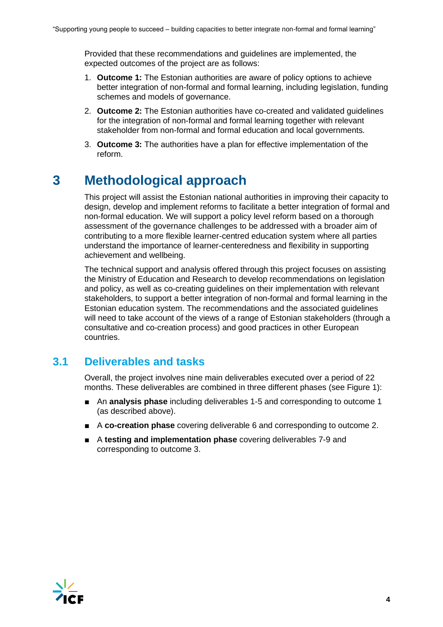Provided that these recommendations and guidelines are implemented, the expected outcomes of the project are as follows:

- 1. **Outcome 1:** The Estonian authorities are aware of policy options to achieve better integration of non-formal and formal learning, including legislation, funding schemes and models of governance.
- 2. **Outcome 2:** The Estonian authorities have co-created and validated guidelines for the integration of non-formal and formal learning together with relevant stakeholder from non-formal and formal education and local governments.
- 3. **Outcome 3:** The authorities have a plan for effective implementation of the reform.

## <span id="page-3-0"></span>**3 Methodological approach**

This project will assist the Estonian national authorities in improving their capacity to design, develop and implement reforms to facilitate a better integration of formal and non-formal education. We will support a policy level reform based on a thorough assessment of the governance challenges to be addressed with a broader aim of contributing to a more flexible learner-centred education system where all parties understand the importance of learner-centeredness and flexibility in supporting achievement and wellbeing.

The technical support and analysis offered through this project focuses on assisting the Ministry of Education and Research to develop recommendations on legislation and policy, as well as co-creating guidelines on their implementation with relevant stakeholders, to support a better integration of non-formal and formal learning in the Estonian education system. The recommendations and the associated guidelines will need to take account of the views of a range of Estonian stakeholders (through a consultative and co-creation process) and good practices in other European countries.

### <span id="page-3-1"></span>**3.1 Deliverables and tasks**

Overall, the project involves nine main deliverables executed over a period of 22 months. These deliverables are combined in three different phases (see Figure 1):

- An **analysis phase** including deliverables 1-5 and corresponding to outcome 1 (as described above).
- A **co-creation phase** covering deliverable 6 and corresponding to outcome 2.
- A **testing and implementation phase** covering deliverables 7-9 and corresponding to outcome 3.

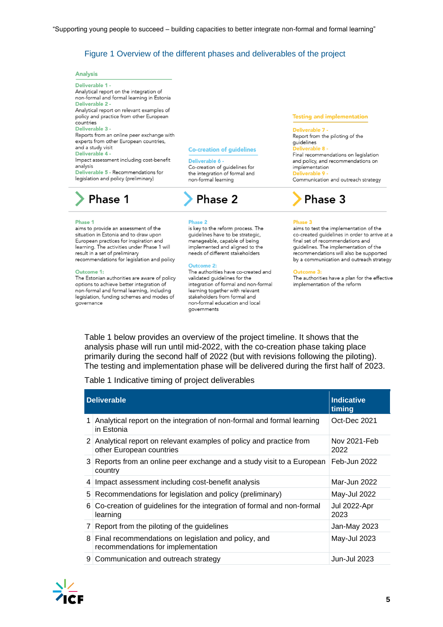#### Figure 1 Overview of the different phases and deliverables of the project

#### **Analysis**

Deliverable 1 -Analytical report on the integration of non-formal and formal learning in Estonia Deliverable 2 -Analytical report on relevant examples of policy and practice from other European countries Deliverable 3 -Reports from an online peer exchange with experts from other European countries, and a study visit Deliverable 4 -Impact assessment including cost-benefit analysis Deliverable 5 - Recommendations for legislation and policy (preliminary)

#### **Co-creation of guidelines**

Deliverable 6

Co-creation of guidelines for the integration of formal and non-formal learning

## **Phase 1**

#### Phase 1

aims to provide an assessment of the situation in Estonia and to draw upon European practices for inspiration and learning. The activities under Phase 1 will result in a set of preliminary recommendations for legislation and policy

#### Outcome 1:

The Estonian authorities are aware of policy options to achieve better integration of non-formal and formal learning, including legislation, funding schemes and modes of governance

## **Phase 2**

#### Phase 2

is key to the reform process. The quidelines have to be strategic, manageable, capable of being implemented and aligned to the needs of different stakeholders

#### **Outcome 2:**

The authorities have co-created and validated guidelines for the integration of formal and non-formal learning together with relevant stakeholders from formal and non-formal education and local governments

#### **Testing and implementation**

Deliverable 7 -Report from the piloting of the guidelines erable 8

Final recommendations on legislation and policy, and recommendations on implementation Communication and outreach strategy

## Phase 3

#### Phase 3

aims to test the implementation of the co-created quidelines in order to arrive at a final set of recommendations and guidelines. The implementation of the recommendations will also be supported by a communication and outreach strategy

#### Outcome 3:

The authorities have a plan for the effective implementation of the reform

Table 1 below provides an overview of the project timeline. It shows that the analysis phase will run until mid-2022, with the co-creation phase taking place primarily during the second half of 2022 (but with revisions following the piloting). The testing and implementation phase will be delivered during the first half of 2023.

Table 1 Indicative timing of project deliverables

| <b>Deliverable</b> |                                                                                                  | <b>Indicative</b><br>timing |
|--------------------|--------------------------------------------------------------------------------------------------|-----------------------------|
| 1                  | Analytical report on the integration of non-formal and formal learning<br>in Estonia             | Oct-Dec 2021                |
|                    | 2 Analytical report on relevant examples of policy and practice from<br>other European countries | Nov 2021-Feb<br>2022        |
|                    | 3 Reports from an online peer exchange and a study visit to a European<br>country                | Feb-Jun 2022                |
| 4                  | Impact assessment including cost-benefit analysis                                                | Mar-Jun 2022                |
|                    | 5 Recommendations for legislation and policy (preliminary)                                       | May-Jul 2022                |
|                    | 6 Co-creation of guidelines for the integration of formal and non-formal<br>learning             | Jul 2022-Apr<br>2023        |
|                    | 7 Report from the piloting of the guidelines                                                     | Jan-May 2023                |
|                    | 8 Final recommendations on legislation and policy, and<br>recommendations for implementation     | May-Jul 2023                |
|                    | 9 Communication and outreach strategy                                                            | <b>Jun-Jul 2023</b>         |

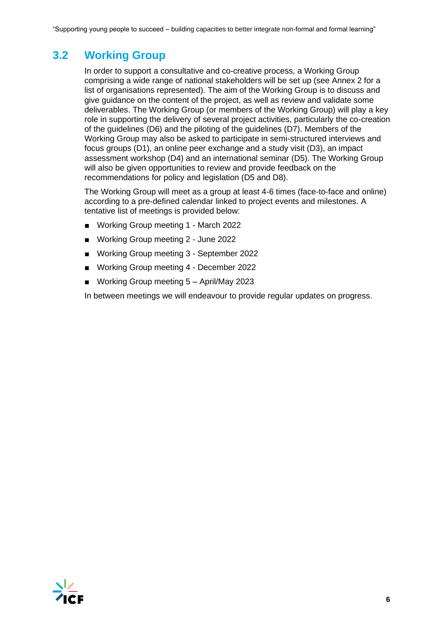### <span id="page-5-0"></span>**3.2 Working Group**

In order to support a consultative and co-creative process, a Working Group comprising a wide range of national stakeholders will be set up (see Annex 2 for a list of organisations represented). The aim of the Working Group is to discuss and give guidance on the content of the project, as well as review and validate some deliverables. The Working Group (or members of the Working Group) will play a key role in supporting the delivery of several project activities, particularly the co-creation of the guidelines (D6) and the piloting of the guidelines (D7). Members of the Working Group may also be asked to participate in semi-structured interviews and focus groups (D1), an online peer exchange and a study visit (D3), an impact assessment workshop (D4) and an international seminar (D5). The Working Group will also be given opportunities to review and provide feedback on the recommendations for policy and legislation (D5 and D8).

The Working Group will meet as a group at least 4-6 times (face-to-face and online) according to a pre-defined calendar linked to project events and milestones. A tentative list of meetings is provided below:

- Working Group meeting 1 March 2022
- Working Group meeting 2 June 2022
- Working Group meeting 3 September 2022
- Working Group meeting 4 December 2022
- Working Group meeting 5 April/May 2023

In between meetings we will endeavour to provide regular updates on progress.

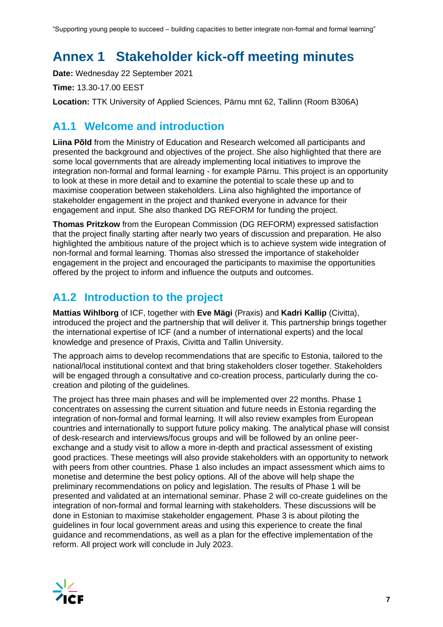"Supporting young people to succeed – building capacities to better integrate non-formal and formal learning"

## <span id="page-6-0"></span>**Annex 1 Stakeholder kick-off meeting minutes**

**Date:** Wednesday 22 September 2021

**Time:** 13.30-17.00 EEST

**Location:** TTK University of Applied Sciences, Pärnu mnt 62, Tallinn (Room B306A)

### **A1.1 Welcome and introduction**

**Liina Põld** from the Ministry of Education and Research welcomed all participants and presented the background and objectives of the project. She also highlighted that there are some local governments that are already implementing local initiatives to improve the integration non-formal and formal learning - for example Pärnu. This project is an opportunity to look at these in more detail and to examine the potential to scale these up and to maximise cooperation between stakeholders. Liina also highlighted the importance of stakeholder engagement in the project and thanked everyone in advance for their engagement and input. She also thanked DG REFORM for funding the project.

**Thomas Pritzkow** from the European Commission (DG REFORM) expressed satisfaction that the project finally starting after nearly two years of discussion and preparation. He also highlighted the ambitious nature of the project which is to achieve system wide integration of non-formal and formal learning. Thomas also stressed the importance of stakeholder engagement in the project and encouraged the participants to maximise the opportunities offered by the project to inform and influence the outputs and outcomes.

### **A1.2 Introduction to the project**

**Mattias Wihlborg** of ICF, together with **Eve Mägi** (Praxis) and **Kadri Kallip** (Civitta), introduced the project and the partnership that will deliver it. This partnership brings together the international expertise of ICF (and a number of international experts) and the local knowledge and presence of Praxis, Civitta and Tallin University.

The approach aims to develop recommendations that are specific to Estonia, tailored to the national/local institutional context and that bring stakeholders closer together. Stakeholders will be engaged through a consultative and co-creation process, particularly during the cocreation and piloting of the guidelines.

The project has three main phases and will be implemented over 22 months. Phase 1 concentrates on assessing the current situation and future needs in Estonia regarding the integration of non-formal and formal learning. It will also review examples from European countries and internationally to support future policy making. The analytical phase will consist of desk-research and interviews/focus groups and will be followed by an online peerexchange and a study visit to allow a more in-depth and practical assessment of existing good practices. These meetings will also provide stakeholders with an opportunity to network with peers from other countries. Phase 1 also includes an impact assessment which aims to monetise and determine the best policy options. All of the above will help shape the preliminary recommendations on policy and legislation. The results of Phase 1 will be presented and validated at an international seminar. Phase 2 will co-create guidelines on the integration of non-formal and formal learning with stakeholders. These discussions will be done in Estonian to maximise stakeholder engagement. Phase 3 is about piloting the guidelines in four local government areas and using this experience to create the final guidance and recommendations, as well as a plan for the effective implementation of the reform. All project work will conclude in July 2023.

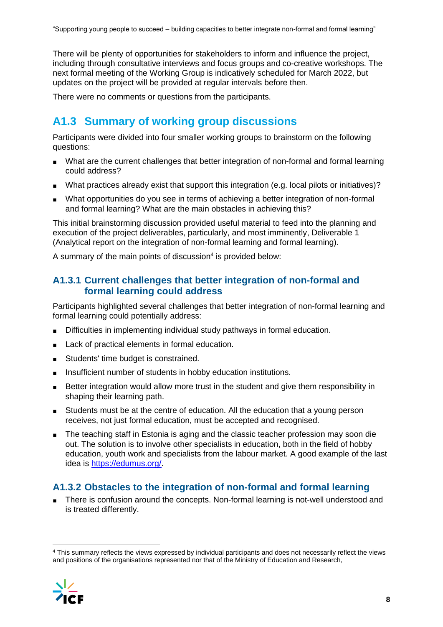There will be plenty of opportunities for stakeholders to inform and influence the project, including through consultative interviews and focus groups and co-creative workshops. The next formal meeting of the Working Group is indicatively scheduled for March 2022, but updates on the project will be provided at regular intervals before then.

There were no comments or questions from the participants.

### **A1.3 Summary of working group discussions**

Participants were divided into four smaller working groups to brainstorm on the following questions:

- What are the current challenges that better integration of non-formal and formal learning could address?
- What practices already exist that support this integration (e.g. local pilots or initiatives)?
- What opportunities do you see in terms of achieving a better integration of non-formal and formal learning? What are the main obstacles in achieving this?

This initial brainstorming discussion provided useful material to feed into the planning and execution of the project deliverables, particularly, and most imminently, Deliverable 1 (Analytical report on the integration of non-formal learning and formal learning).

A summary of the main points of discussion<sup>4</sup> is provided below:

#### **A1.3.1 Current challenges that better integration of non-formal and formal learning could address**

Participants highlighted several challenges that better integration of non-formal learning and formal learning could potentially address:

- Difficulties in implementing individual study pathways in formal education.
- Lack of practical elements in formal education.
- Students' time budget is constrained.
- Insufficient number of students in hobby education institutions.
- Better integration would allow more trust in the student and give them responsibility in shaping their learning path.
- Students must be at the centre of education. All the education that a young person receives, not just formal education, must be accepted and recognised.
- The teaching staff in Estonia is aging and the classic teacher profession may soon die out. The solution is to involve other specialists in education, both in the field of hobby education, youth work and specialists from the labour market. A good example of the last idea is [https://edumus.org/.](https://edumus.org/)

#### **A1.3.2 Obstacles to the integration of non-formal and formal learning**

There is confusion around the concepts. Non-formal learning is not-well understood and is treated differently.

<sup>4</sup> This summary reflects the views expressed by individual participants and does not necessarily reflect the views and positions of the organisations represented nor that of the Ministry of Education and Research,

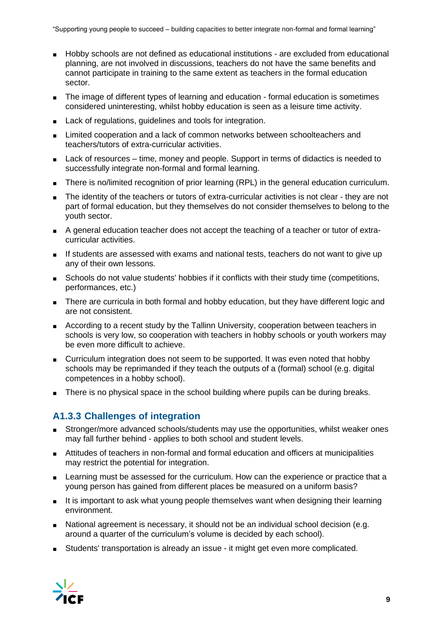- Hobby schools are not defined as educational institutions are excluded from educational planning, are not involved in discussions, teachers do not have the same benefits and cannot participate in training to the same extent as teachers in the formal education sector.
- The image of different types of learning and education formal education is sometimes considered uninteresting, whilst hobby education is seen as a leisure time activity.
- Lack of regulations, guidelines and tools for integration.
- Limited cooperation and a lack of common networks between schoolteachers and teachers/tutors of extra-curricular activities.
- Lack of resources time, money and people. Support in terms of didactics is needed to successfully integrate non-formal and formal learning.
- There is no/limited recognition of prior learning (RPL) in the general education curriculum.
- The identity of the teachers or tutors of extra-curricular activities is not clear they are not part of formal education, but they themselves do not consider themselves to belong to the youth sector.
- A general education teacher does not accept the teaching of a teacher or tutor of extracurricular activities.
- If students are assessed with exams and national tests, teachers do not want to give up any of their own lessons.
- Schools do not value students' hobbies if it conflicts with their study time (competitions, performances, etc.)
- There are curricula in both formal and hobby education, but they have different logic and are not consistent.
- According to a recent study by the Tallinn University, cooperation between teachers in schools is very low, so cooperation with teachers in hobby schools or youth workers may be even more difficult to achieve.
- Curriculum integration does not seem to be supported. It was even noted that hobby schools may be reprimanded if they teach the outputs of a (formal) school (e.g. digital competences in a hobby school).
- There is no physical space in the school building where pupils can be during breaks.

### **A1.3.3 Challenges of integration**

- Stronger/more advanced schools/students may use the opportunities, whilst weaker ones may fall further behind - applies to both school and student levels.
- Attitudes of teachers in non-formal and formal education and officers at municipalities may restrict the potential for integration.
- Learning must be assessed for the curriculum. How can the experience or practice that a young person has gained from different places be measured on a uniform basis?
- It is important to ask what young people themselves want when designing their learning environment.
- National agreement is necessary, it should not be an individual school decision (e.g. around a quarter of the curriculum's volume is decided by each school).
- Students' transportation is already an issue it might get even more complicated.

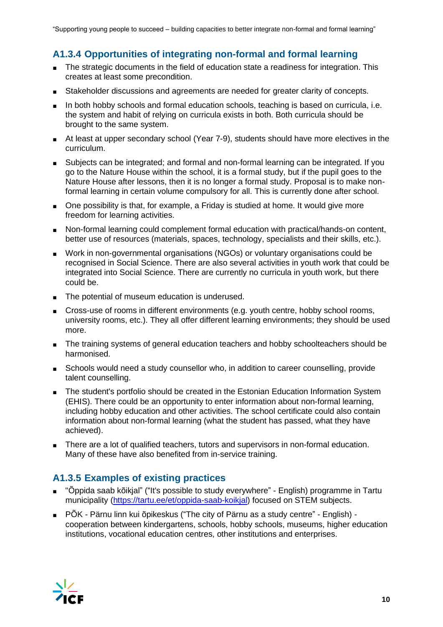### **A1.3.4 Opportunities of integrating non-formal and formal learning**

- The strategic documents in the field of education state a readiness for integration. This creates at least some precondition.
- Stakeholder discussions and agreements are needed for greater clarity of concepts.
- In both hobby schools and formal education schools, teaching is based on curricula, i.e. the system and habit of relying on curricula exists in both. Both curricula should be brought to the same system.
- At least at upper secondary school (Year 7-9), students should have more electives in the curriculum.
- Subjects can be integrated; and formal and non-formal learning can be integrated. If you go to the Nature House within the school, it is a formal study, but if the pupil goes to the Nature House after lessons, then it is no longer a formal study. Proposal is to make nonformal learning in certain volume compulsory for all. This is currently done after school.
- One possibility is that, for example, a Friday is studied at home. It would give more freedom for learning activities.
- Non-formal learning could complement formal education with practical/hands-on content, better use of resources (materials, spaces, technology, specialists and their skills, etc.).
- Work in non-governmental organisations (NGOs) or voluntary organisations could be recognised in Social Science. There are also several activities in youth work that could be integrated into Social Science. There are currently no curricula in youth work, but there could be.
- The potential of museum education is underused.
- Cross-use of rooms in different environments (e.g. youth centre, hobby school rooms, university rooms, etc.). They all offer different learning environments; they should be used more.
- The training systems of general education teachers and hobby schoolteachers should be harmonised.
- Schools would need a study counsellor who, in addition to career counselling, provide talent counselling.
- The student's portfolio should be created in the Estonian Education Information System (EHIS). There could be an opportunity to enter information about non-formal learning, including hobby education and other activities. The school certificate could also contain information about non-formal learning (what the student has passed, what they have achieved).
- There are a lot of qualified teachers, tutors and supervisors in non-formal education. Many of these have also benefited from in-service training.

### **A1.3.5 Examples of existing practices**

- "Õppida saab kõikjal" ("It's possible to study everywhere" English) programme in Tartu municipality [\(https://tartu.ee/et/oppida-saab-koikjal\)](https://tartu.ee/et/oppida-saab-koikjal) focused on STEM subjects.
- PÕK Pärnu linn kui õpikeskus ("The city of Pärnu as a study centre" English) cooperation between kindergartens, schools, hobby schools, museums, higher education institutions, vocational education centres, other institutions and enterprises.

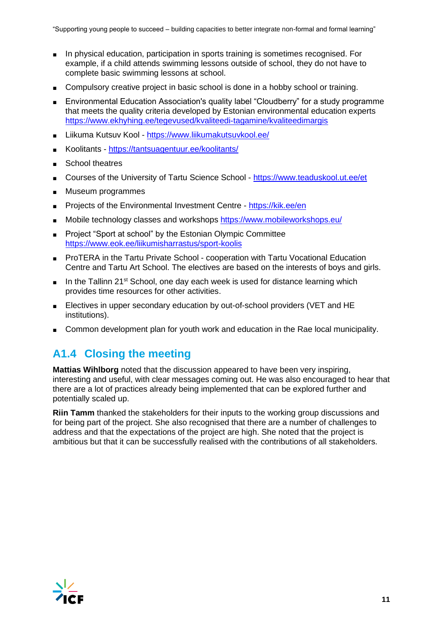- In physical education, participation in sports training is sometimes recognised. For example, if a child attends swimming lessons outside of school, they do not have to complete basic swimming lessons at school.
- Compulsory creative project in basic school is done in a hobby school or training.
- Environmental Education Association's quality label "Cloudberry" for a study programme that meets the quality criteria developed by Estonian environmental education experts <https://www.ekhyhing.ee/tegevused/kvaliteedi-tagamine/kvaliteedimargis>
- Liikuma Kutsuv Kool <https://www.liikumakutsuvkool.ee/>
- Koolitants <https://tantsuagentuur.ee/koolitants/>
- School theatres
- Courses of the University of Tartu Science School <https://www.teaduskool.ut.ee/et>
- Museum programmes
- Projects of the Environmental Investment Centre <https://kik.ee/en>
- Mobile technology classes and workshops<https://www.mobileworkshops.eu/>
- Project "Sport at school" by the Estonian Olympic Committee <https://www.eok.ee/liikumisharrastus/sport-koolis>
- ProTERA in the Tartu Private School cooperation with Tartu Vocational Education Centre and Tartu Art School. The electives are based on the interests of boys and girls.
- **■** In the Tallinn 21<sup>st</sup> School, one day each week is used for distance learning which provides time resources for other activities.
- Electives in upper secondary education by out-of-school providers (VET and HE institutions).
- Common development plan for youth work and education in the Rae local municipality.

### **A1.4 Closing the meeting**

**Mattias Wihlborg** noted that the discussion appeared to have been very inspiring, interesting and useful, with clear messages coming out. He was also encouraged to hear that there are a lot of practices already being implemented that can be explored further and potentially scaled up.

**Riin Tamm** thanked the stakeholders for their inputs to the working group discussions and for being part of the project. She also recognised that there are a number of challenges to address and that the expectations of the project are high. She noted that the project is ambitious but that it can be successfully realised with the contributions of all stakeholders.

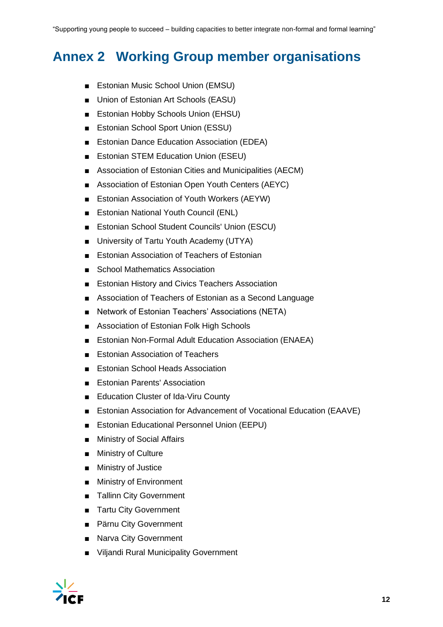## <span id="page-11-0"></span>**Annex 2 Working Group member organisations**

- Estonian Music School Union (EMSU)
- Union of Estonian Art Schools (EASU)
- Estonian Hobby Schools Union (EHSU)
- Estonian School Sport Union (ESSU)
- Estonian Dance Education Association (EDEA)
- Estonian STEM Education Union (ESEU)
- Association of Estonian Cities and Municipalities (AECM)
- Association of Estonian Open Youth Centers (AEYC)
- Estonian Association of Youth Workers (AEYW)
- Estonian National Youth Council (ENL)
- Estonian School Student Councils' Union (ESCU)
- University of Tartu Youth Academy (UTYA)
- Estonian Association of Teachers of Estonian
- School Mathematics Association
- **Estonian History and Civics Teachers Association**
- Association of Teachers of Estonian as a Second Language
- Network of Estonian Teachers' Associations (NETA)
- Association of Estonian Folk High Schools
- **Estonian Non-Formal Adult Education Association (ENAEA)**
- **Estonian Association of Teachers**
- **Estonian School Heads Association**
- Estonian Parents' Association
- Education Cluster of Ida-Viru County
- Estonian Association for Advancement of Vocational Education (EAAVE)
- Estonian Educational Personnel Union (EEPU)
- Ministry of Social Affairs
- Ministry of Culture
- Ministry of Justice
- Ministry of Environment
- Tallinn City Government
- Tartu City Government
- Pärnu City Government
- Narva City Government
- Viljandi Rural Municipality Government